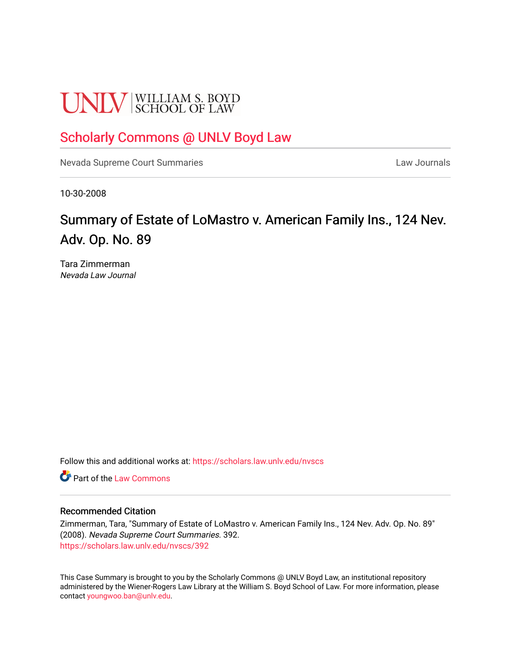# **UNLV** SCHOOL OF LAW

# [Scholarly Commons @ UNLV Boyd Law](https://scholars.law.unlv.edu/)

[Nevada Supreme Court Summaries](https://scholars.law.unlv.edu/nvscs) **Law Journals** Law Journals

10-30-2008

# Summary of Estate of LoMastro v. American Family Ins., 124 Nev. Adv. Op. No. 89

Tara Zimmerman Nevada Law Journal

Follow this and additional works at: [https://scholars.law.unlv.edu/nvscs](https://scholars.law.unlv.edu/nvscs?utm_source=scholars.law.unlv.edu%2Fnvscs%2F392&utm_medium=PDF&utm_campaign=PDFCoverPages)

**C** Part of the [Law Commons](http://network.bepress.com/hgg/discipline/578?utm_source=scholars.law.unlv.edu%2Fnvscs%2F392&utm_medium=PDF&utm_campaign=PDFCoverPages)

#### Recommended Citation

Zimmerman, Tara, "Summary of Estate of LoMastro v. American Family Ins., 124 Nev. Adv. Op. No. 89" (2008). Nevada Supreme Court Summaries. 392. [https://scholars.law.unlv.edu/nvscs/392](https://scholars.law.unlv.edu/nvscs/392?utm_source=scholars.law.unlv.edu%2Fnvscs%2F392&utm_medium=PDF&utm_campaign=PDFCoverPages)

This Case Summary is brought to you by the Scholarly Commons @ UNLV Boyd Law, an institutional repository administered by the Wiener-Rogers Law Library at the William S. Boyd School of Law. For more information, please contact [youngwoo.ban@unlv.edu](mailto:youngwoo.ban@unlv.edu).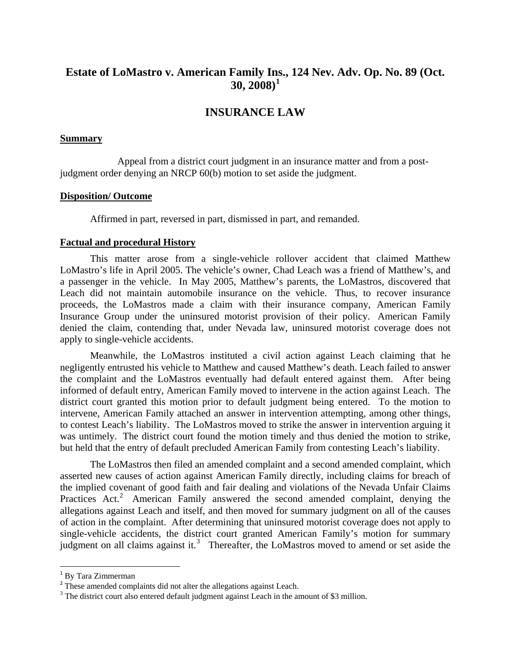# **Estate of LoMastro v. American Family In[s.](#page-1-0), 124 Nev. Adv. Op. No. 89 (Oct. 30, 2008)[1](#page-1-0)**

## **INSURANCE LAW**

#### **Summary**

 Appeal from a district court judgment in an insurance matter and from a postjudgment order denying an NRCP 60(b) motion to set aside the judgment.

#### **Disposition/ Outcome**

Affirmed in part, reversed in part, dismissed in part, and remanded.

#### **Factual and procedural History**

This matter arose from a single-vehicle rollover accident that claimed Matthew LoMastro's life in April 2005. The vehicle's owner, Chad Leach was a friend of Matthew's, and a passenger in the vehicle. In May 2005, Matthew's parents, the LoMastros, discovered that Leach did not maintain automobile insurance on the vehicle. Thus, to recover insurance proceeds, the LoMastros made a claim with their insurance company, American Family Insurance Group under the uninsured motorist provision of their policy. American Family denied the claim, contending that, under Nevada law, uninsured motorist coverage does not apply to single-vehicle accidents.

Meanwhile, the LoMastros instituted a civil action against Leach claiming that he negligently entrusted his vehicle to Matthew and caused Matthew's death. Leach failed to answer the complaint and the LoMastros eventually had default entered against them. After being informed of default entry, American Family moved to intervene in the action against Leach. The district court granted this motion prior to default judgment being entered. To the motion to intervene, American Family attached an answer in intervention attempting, among other things, to contest Leach's liability. The LoMastros moved to strike the answer in intervention arguing it was untimely. The district court found the motion timely and thus denied the motion to strike, but held that the entry of default precluded American Family from contesting Leach's liability.

The LoMastros then filed an amended complaint and a second amended complaint, which asserted new causes of action against American Family directly, including claims for breach of the implied covenant of good faith and fair dealing and violations of the Nevada Unfair Claims Practices Act.<sup>[2](#page-1-1)</sup> American Family answered the second amended complaint, denying the allegations against Leach and itself, and then moved for summary judgment on all of the causes of action in the complaint. After determining that uninsured motorist coverage does not apply to single-vehicle accidents, the district court granted American Family's motion for summary judgment on all claims against it.<sup>[3](#page-1-2)</sup> Thereafter, the LoMastros moved to amend or set aside the

<sup>&</sup>lt;sup>1</sup> By Tara Zimmerman

<span id="page-1-1"></span><span id="page-1-0"></span><sup>&</sup>lt;sup>2</sup> These amended complaints did not alter the allegations against Leach.

<span id="page-1-2"></span> $3$  The district court also entered default judgment against Leach in the amount of \$3 million.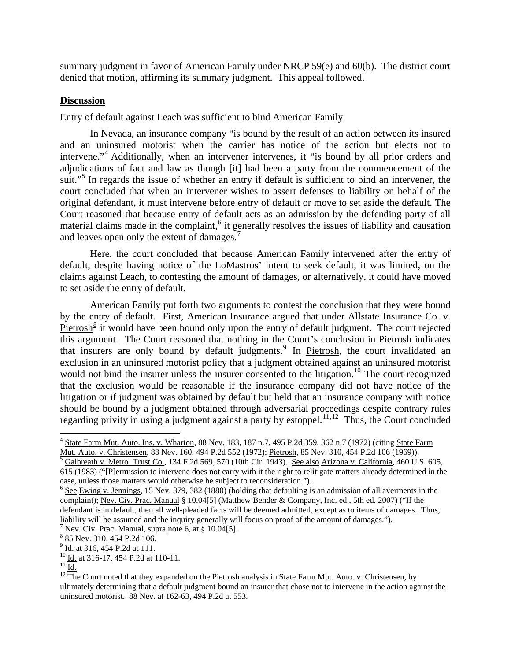summary judgment in favor of American Family under NRCP 59(e) and 60(b). The district court denied that motion, affirming its summary judgment. This appeal followed.

## **Discussion**

Entry of default against Leach was sufficient to bind American Family

In Nevada, an insurance company "is bound by the result of an action between its insured and an uninsured motorist when the carrier has notice of the action but elects not to intervene."<sup>[4](#page-2-0)</sup> Additionally, when an intervener intervenes, it "is bound by all prior orders and adjudications of fact and law as though [it] had been a party from the commencement of the suit."<sup>[5](#page-2-1)</sup> In regards the issue of whether an entry if default is sufficient to bind an intervener, the court concluded that when an intervener wishes to assert defenses to liability on behalf of the original defendant, it must intervene before entry of default or move to set aside the default. The Court reasoned that because entry of default acts as an admission by the defending party of all material claims made in the complaint,<sup>[6](#page-2-2)</sup> it generally resolves the issues of liability and causation and leaves open only the extent of damages.<sup>[7](#page-2-3)</sup>

Here, the court concluded that because American Family intervened after the entry of default, despite having notice of the LoMastros' intent to seek default, it was limited, on the claims against Leach, to contesting the amount of damages, or alternatively, it could have moved to set aside the entry of default.

American Family put forth two arguments to contest the conclusion that they were bound by the entry of default. First, American Insurance argued that under Allstate Insurance Co. v.  $Pietrosh<sup>8</sup>$  $Pietrosh<sup>8</sup>$  $Pietrosh<sup>8</sup>$  it would have been bound only upon the entry of default judgment. The court rejected this argument. The Court reasoned that nothing in the Court's conclusion in Pietrosh indicates that insurers are only bound by default judgments.<sup>[9](#page-2-5)</sup> In Pietrosh, the court invalidated an exclusion in an uninsured motorist policy that a judgment obtained against an uninsured motorist would not bind the insurer unless the insurer consented to the litigation.<sup>[10](#page-2-6)</sup> The court recognized that the exclusion would be reasonable if the insurance company did not have notice of the litigation or if judgment was obtained by default but held that an insurance company with notice should be bound by a judgment obtained through adversarial proceedings despite contrary rules regarding privity in using a judgment against a party by estoppel.<sup>[11](#page-2-7),[12](#page-2-8)</sup> Thus, the Court concluded

<span id="page-2-3"></span>

<span id="page-2-0"></span> $^{4}$  State Farm Mut. Auto. Ins. v. Wharton, 88 Nev. 183, 187 n.7, 495 P.2d 359, 362 n.7 (1972) (citing State Farm Mut. Auto. v. Christensen, 88 Nev. 160, 494 P.2d 552 (1972); Pietrosh, 85 Nev. 310, 454 P.2d 106 (1969)).

<span id="page-2-1"></span>Galbreath v. Metro. Trust Co., 134 F.2d 569, 570 (10th Cir. 1943). See also Arizona v. California, 460 U.S. 605, 615 (1983) ("[P]ermission to intervene does not carry with it the right to relitigate matters already determined in the case, unless those matters would otherwise be subject to reconsideration.").

<span id="page-2-2"></span> $6$  See Ewing v. Jennings, 15 Nev. 379, 382 (1880) (holding that defaulting is an admission of all averments in the complaint); Nev. Civ. Prac. Manual § 10.04[5] (Matthew Bender & Company, Inc. ed., 5th ed. 2007) ("If the defendant is in default, then all well-pleaded facts will be deemed admitted, except as to items of damages. Thus, liability will be assumed and the inquiry generally will focus on proof of the amount of damages."). <sup>7</sup> Nev. Civ. Prac. Manual, supra note 6, at § 10.04[5].

<span id="page-2-4"></span> $885$  Nev. 310, 454 P.2d 106.<br>9 Id. at 316, 454 P.2d at 111.

<span id="page-2-8"></span>

<span id="page-2-7"></span><span id="page-2-6"></span><span id="page-2-5"></span> $\frac{^{10}}{^{11}}$  Id. at 316-17, 454 P.2d at 110-11.<br> $\frac{^{11}}{^{12}}$  The Court noted that they expanded on the <u>Pietrosh</u> analysis in <u>State Farm Mut. Auto. v. Christensen</u>, by ultimately determining that a default judgment bound an insurer that chose not to intervene in the action against the uninsured motorist. 88 Nev. at 162-63, 494 P.2d at 553.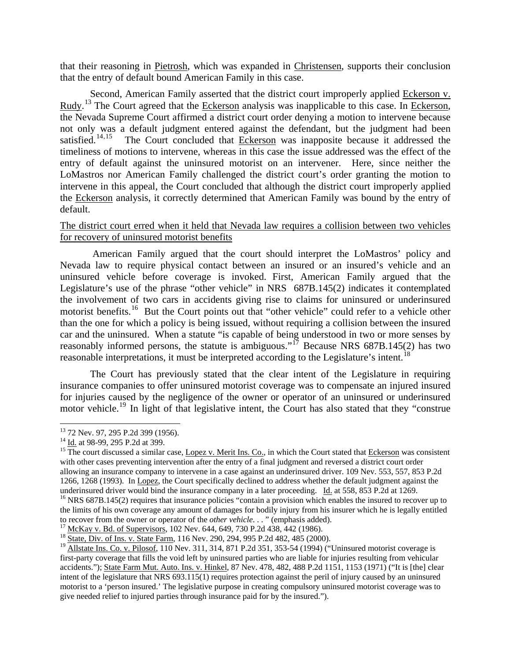that their reasoning in Pietrosh, which was expanded in Christensen, supports their conclusion that the entry of default bound American Family in this case.

Second, American Family asserted that the district court improperly applied Eckerson v. Rudy.<sup>[13](#page-3-0)</sup> The Court agreed that the Eckerson analysis was inapplicable to this case. In Eckerson, the Nevada Supreme Court affirmed a district court order denying a motion to intervene because not only was a default judgment entered against the defendant, but the judgment had been satisfied.<sup>[14](#page-3-1),[15](#page-3-2)</sup> The Court concluded that Eckerson was inapposite because it addressed the timeliness of motions to intervene, whereas in this case the issue addressed was the effect of the entry of default against the uninsured motorist on an intervener. Here, since neither the LoMastros nor American Family challenged the district court's order granting the motion to intervene in this appeal, the Court concluded that although the district court improperly applied the Eckerson analysis, it correctly determined that American Family was bound by the entry of default.

### The district court erred when it held that Nevada law requires a collision between two vehicles for recovery of uninsured motorist benefits

 American Family argued that the court should interpret the LoMastros' policy and Nevada law to require physical contact between an insured or an insured's vehicle and an uninsured vehicle before coverage is invoked. First, American Family argued that the Legislature's use of the phrase "other vehicle" in NRS 687B.145(2) indicates it contemplated the involvement of two cars in accidents giving rise to claims for uninsured or underinsured motorist benefits.<sup>[16](#page-3-3)</sup> But the Court points out that "other vehicle" could refer to a vehicle other than the one for which a policy is being issued, without requiring a collision between the insured car and the uninsured. When a statute "is capable of being understood in two or more senses by reasonably informed persons, the statute is ambiguous."<sup>[17](#page-3-4)</sup> Because NRS 687B.145(2) has two reasonable interpretations, it must be interpreted according to the Legislature's intent.<sup>[18](#page-3-5)</sup>

The Court has previously stated that the clear intent of the Legislature in requiring insurance companies to offer uninsured motorist coverage was to compensate an injured insured for injuries caused by the negligence of the owner or operator of an uninsured or underinsured motor vehicle.<sup>[19](#page-3-6)</sup> In light of that legislative intent, the Court has also stated that they "construe"

 <sup>13</sup> 72 Nev. 97, 295 P.2d 399 (1956).

<span id="page-3-2"></span><span id="page-3-1"></span><span id="page-3-0"></span><sup>&</sup>lt;sup>14</sup> Id. at 98-99, 295 P.2d at 399.<br><sup>15</sup> The court discussed a similar case, Lopez v. Merit Ins. Co., in which the Court stated that **Eckerson** was consistent with other cases preventing intervention after the entry of a final judgment and reversed a district court order allowing an insurance company to intervene in a case against an underinsured driver. 109 Nev. 553, 557, 853 P.2d 1266, 1268 (1993). In Lopez, the Court specifically declined to address whether the default judgment against the

<span id="page-3-3"></span>underinsured driver would bind the insurance company in a later proceeding. Id. at 558, 853 P.2d at 1269.<br><sup>16</sup> NRS 687B.145(2) requires that insurance policies "contain a provision which enables the insured to recover up the limits of his own coverage any amount of damages for bodily injury from his insurer which he is legally entitled to recover from the owner or operator of the *other vehicle*..." (emphasis added).

<span id="page-3-4"></span><sup>&</sup>lt;sup>17</sup> McKay v. Bd. of Supervisors, 102 Nev. 644, 649, 730 P.2d 438, 442 (1986).<br><sup>18</sup> State, Div. of Ins. v. State Farm, 116 Nev. 290, 294, 995 P.2d 482, 485 (2000).

<span id="page-3-6"></span><span id="page-3-5"></span> $^{19}$  Allstate Ins. Co. v. Pilosof, 110 Nev. 311, 314, 871 P.2d 351, 353-54 (1994) ("Uninsured motorist coverage is first-party coverage that fills the void left by uninsured parties who are liable for injuries resulting from vehicular accidents."); State Farm Mut. Auto. Ins. v. Hinkel, 87 Nev. 478, 482, 488 P.2d 1151, 1153 (1971) ("It is [the] clear intent of the legislature that NRS 693.115(1) requires protection against the peril of injury caused by an uninsured motorist to a 'person insured.' The legislative purpose in creating compulsory uninsured motorist coverage was to give needed relief to injured parties through insurance paid for by the insured.").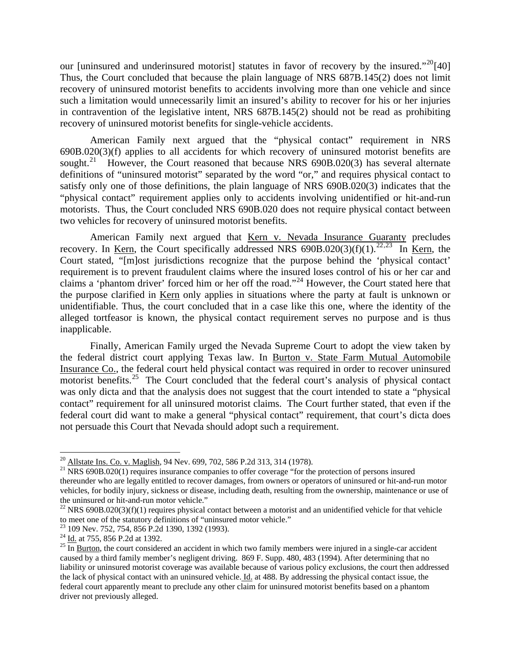our [uninsured and underinsured motorist] statutes in favor of recovery by the insured."<sup>[20](#page-4-0)</sup>[40] Thus, the Court concluded that because the plain language of NRS 687B.145(2) does not limit recovery of uninsured motorist benefits to accidents involving more than one vehicle and since such a limitation would unnecessarily limit an insured's ability to recover for his or her injuries in contravention of the legislative intent, NRS 687B.145(2) should not be read as prohibiting recovery of uninsured motorist benefits for single-vehicle accidents.

American Family next argued that the "physical contact" requirement in NRS 690B.020(3)(f) applies to all accidents for which recovery of uninsured motorist benefits are sought.<sup>[21](#page-4-1)</sup> However, the Court reasoned that because NRS 690B.020(3) has several alternate definitions of "uninsured motorist" separated by the word "or," and requires physical contact to satisfy only one of those definitions, the plain language of NRS 690B.020(3) indicates that the "physical contact" requirement applies only to accidents involving unidentified or hit-and-run motorists. Thus, the Court concluded NRS 690B.020 does not require physical contact between two vehicles for recovery of uninsured motorist benefits.

American Family next argued that Kern v. Nevada Insurance Guaranty precludes recovery. In Kern, the Court specifically addressed NRS  $690B.020(3)(f)(1)$ .<sup>[22](#page-4-2),[23](#page-4-3)</sup> In Kern, the Court stated, "[m]ost jurisdictions recognize that the purpose behind the 'physical contact' requirement is to prevent fraudulent claims where the insured loses control of his or her car and claims a 'phantom driver' forced him or her off the road."<sup>[24](#page-4-4)</sup> However, the Court stated here that the purpose clarified in Kern only applies in situations where the party at fault is unknown or unidentifiable. Thus, the court concluded that in a case like this one, where the identity of the alleged tortfeasor is known, the physical contact requirement serves no purpose and is thus inapplicable.

Finally, American Family urged the Nevada Supreme Court to adopt the view taken by the federal district court applying Texas law. In Burton v. State Farm Mutual Automobile Insurance Co., the federal court held physical contact was required in order to recover uninsured motorist benefits.<sup>[25](#page-4-5)</sup> The Court concluded that the federal court's analysis of physical contact was only dicta and that the analysis does not suggest that the court intended to state a "physical contact" requirement for all uninsured motorist claims. The Court further stated, that even if the federal court did want to make a general "physical contact" requirement, that court's dicta does not persuade this Court that Nevada should adopt such a requirement.

<span id="page-4-0"></span><sup>&</sup>lt;sup>20</sup> Allstate Ins. Co. v. Maglish, 94 Nev. 699, 702, 586 P.2d 313, 314 (1978).

<span id="page-4-1"></span><sup>&</sup>lt;sup>21</sup> NRS 690B.020(1) requires insurance companies to offer coverage "for the protection of persons insured thereunder who are legally entitled to recover damages, from owners or operators of uninsured or hit-and-run motor vehicles, for bodily injury, sickness or disease, including death, resulting from the ownership, maintenance or use of the uninsured or hit-and-run motor vehicle."

<span id="page-4-2"></span><sup>&</sup>lt;sup>22</sup> NRS 690B.020(3)(f)(1) requires physical contact between a motorist and an unidentified vehicle for that vehicle to meet one of the statutory definitions of "uninsured motor vehicle."

<span id="page-4-4"></span><span id="page-4-3"></span><sup>&</sup>lt;sup>23</sup> 109 Nev. 752, 754, 856 P.2d 1390, 1392 (1993).<br><sup>24</sup> Id. at 755, 856 P.2d at 1392.

<span id="page-4-5"></span> $^{25}$  In Burton, the court considered an accident in which two family members were injured in a single-car accident caused by a third family member's negligent driving. 869 F. Supp. 480, 483 (1994). After determining that no liability or uninsured motorist coverage was available because of various policy exclusions, the court then addressed the lack of physical contact with an uninsured vehicle. Id. at 488. By addressing the physical contact issue, the federal court apparently meant to preclude any other claim for uninsured motorist benefits based on a phantom driver not previously alleged.